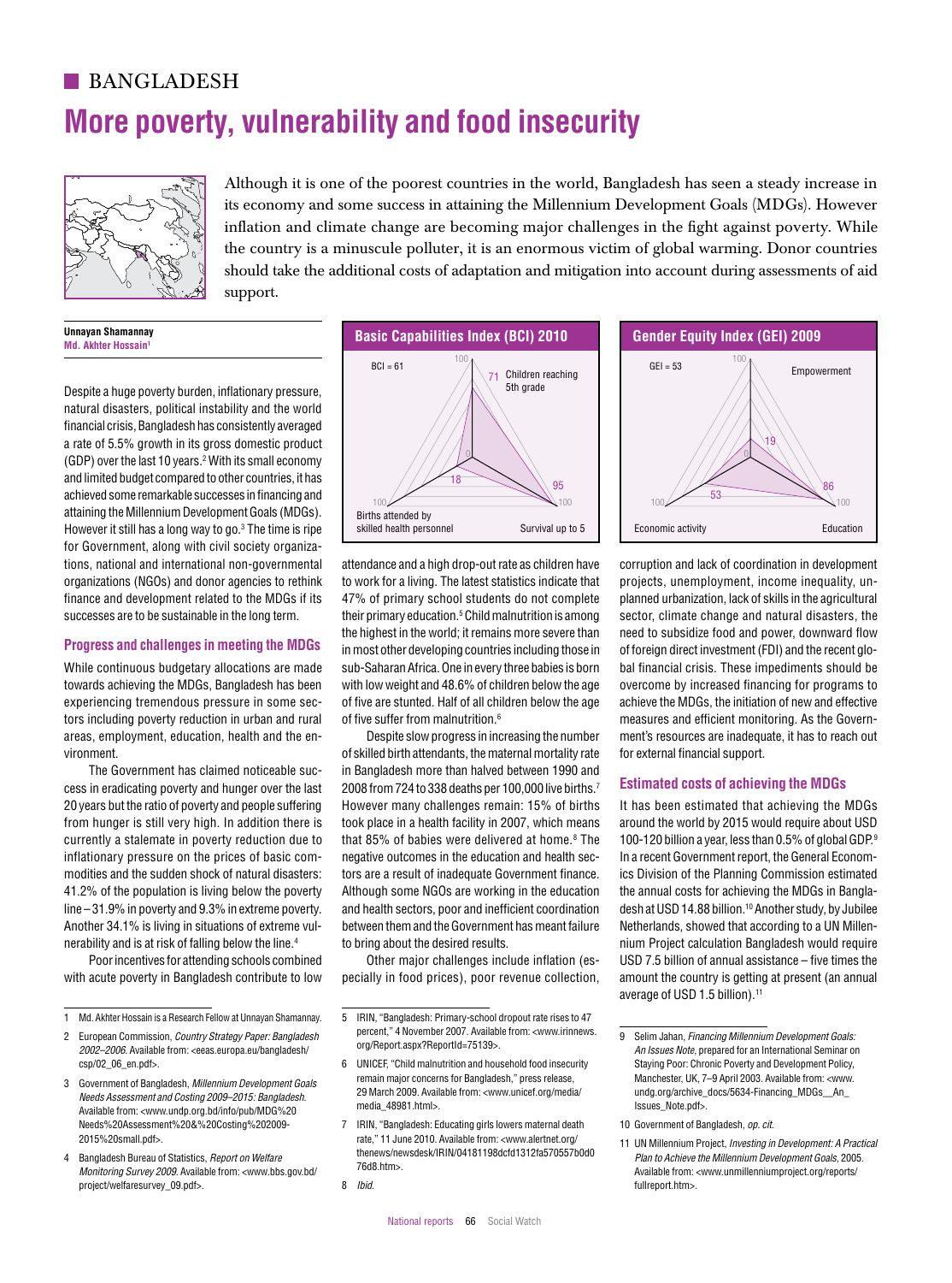# **BANGLADESH More poverty, vulnerability and food insecurity**



Although it is one of the poorest countries in the world, Bangladesh has seen a steady increase in its economy and some success in attaining the Millennium Development Goals (MDGs). However inflation and climate change are becoming major challenges in the fight against poverty. While the country is a minuscule polluter, it is an enormous victim of global warming. Donor countries should take the additional costs of adaptation and mitigation into account during assessments of aid support.

#### **Unnayan Shamannay Md. Akhter Hossain**

Despite a huge poverty burden, inflationary pressure, natural disasters, political instability and the world financial crisis, Bangladesh has consistently averaged a rate of 5.5% growth in its gross domestic product (GDP) over the last 10 years.2 With its small economy and limited budget compared to other countries, it has achieved some remarkable successes in financing and attaining the Millennium Development Goals (MDGs). However it still has a long way to go.<sup>3</sup> The time is ripe for Government, along with civil society organizations, national and international non-governmental organizations (NGOs) and donor agencies to rethink finance and development related to the MDGs if its successes are to be sustainable in the long term. BCI of Argentina individual provident and Argentina and Argentina and Bright and Brazil provident and the Brazil of Brazil and School individual provident and Brazil and Individual stranger in development IO GOVERNMENT, ARDING WHIT CIVIL SOCIETY ORIGANIZAS

# **Progress and challenges in meeting the MDGs** 100

While continuous budgetary allocations are made towards achieving the MDGs, Bangladesh has been experiencing tremendous pressure in some sectors including poverty reduction in urban and rural areas, employment, education, health and the environment.

The Government has claimed noticeable success in eradicating poverty and hunger over the last 20 years but the ratio of poverty and people suffering 100 100 70 from hunger is still very high. In addition there is currently a stalemate in poverty reduction due to inflationary pressure on the prices of basic commodities and the sudden shock of natural disasters: 41.2% of the population is living below the poverty line – 31.9% in poverty and 9.3% in extreme poverty. Another 34.1% is living in situations of extreme vulnerability and is at risk of falling below the line.4

Poor incentives for attending schools combined with acute poverty in Bangladesh contribute to low



attendance and a high drop-out rate as children have to work for a living. The latest statistics indicate that 47% of primary school students do not complete their primary education.<sup>5</sup> Child malnutrition is among the highest in the world; it remains more severe than in most other developing countries including those in 100 armost official developing countries including those in with low weight and 48.6% of children below the age of five are stunted. Half of all children below the age of five suffer from malnutrition.<sup>6</sup>

Despite slow progress in increasing the number of skilled birth attendants, the maternal mortality rate 0 in Bangladesh more than halved between 1990 and 2008 from 724 to 338 deaths per 100,000 live births.<sup>7</sup> However many challenges remain: 15% of births took place in a health facility in 2007, which means that 85% of babies were delivered at home.<sup>8</sup> The negative outcomes in the education and health sectors are a result of inadequate Government finance. Although some NGOs are working in the education and health sectors, poor and inefficient coordination between them and the Government has meant failure to bring about the desired results.

my about the deemed receits.<br>Other major challenges include inflation (especially in food prices), poor revenue collection,



corruption and lack of coordination in development projects, unemployment, income inequality, unplanned urbanization, lack of skills in the agricultural sector, climate change and natural disasters, the need to subsidize food and power, downward flow of foreign direct investment (FDI) and the recent global financial crisis. These impediments should be overcome by increased financing for programs to achieve the MDGs, the initiation of new and effective measures and efficient monitoring. As the Government's resources are inadequate, it has to reach out for external financial support.

# **Estimated costs of achieving the MDGs** 99

It has been estimated that achieving the MDGs around the world by 2015 would require about USD 100-120 billion a year, less than 0.5% of global GDP.9 In a recent Government report, the General Economics Division of the Planning Commission estimated the annual costs for achieving the MDGs in Bangladesh at USD 14.88 billion.<sup>10</sup> Another study, by Jubilee Netherlands, showed that according to a UN Millennium Project calculation Bangladesh would require USD 7.5 billion of annual assistance – five times the 100 amount the country is getting at present (an annual average of USD 1.5 billion).<sup>11</sup> inflationary pressure on the prices of basic com- negative outcomes in the education and health sec- In a recent Government report, the General Econom- $\sim$  IEG of Chile  $\sim$  IEG of Chile and  $\sim$  Colombia  $\sim$  Cross Intervention of Chile and Chile and Chile and Chile and Chile and Chile and Chile and Chile and IEG of Chile and IEG of Chile and IEG of Chile and IEG of Ch

11 UN Millennium Project, *Investing in Development: A Practical Plan to Achieve the Millennium Development Goals*, 2005. Available from: <www.unmillenniumproject.org/reports/ fullreport.htms BCI of Germany Humanity in Francisco Mether And the Second of Germany indian second and the Germany of Germany indian second and the Chana and the Hungary indian second and the Chana and Chana = 70 BCI of Chana = 70 BCI of IEG OF GERMAN = 1. IN SUIT CONCIDENT = 1. IN SUIT CONCIDENT ENGINE ENTIRE AND THE CONCIDENT AND SUIT CONCIDENT<br>HELD OF GERMAN DISPOSED IN DISPOSITION OF INDUCTING THE STATE STATES TO A SUIT CONCIDENT AND SUIT CONCIDENT AN

<sup>1</sup> Md. Akhter Hossain is a Research Fellow at Unnayan Shamannay.

<sup>2</sup> European Commission, *Country Strategy Paper: Bangladesh 2002–2006*. Available from: <eeas.europa.eu/bangladesh/ csp/02\_06\_en.pdf>.

<sup>3</sup> Government of Bangladesh, *Millennium Development Goals Needs Assessment and Costing 2009–2015: Bangladesh*. Available from: <www.undp.org.bd/info/pub/MDG%20 Needs%20Assessment%20&%20Costing%202009- 2015%20small.pdf>.

<sup>4</sup> Bangladesh Bureau of Statistics, *Report on Welfare Monitoring Survey 2009*. Available from: <www.bbs.gov.bd/ project/welfaresurvey\_09.pdf>.

<sup>5</sup> IRIN, "Bangladesh: Primary-school dropout rate rises to 47 percent," 4 November 2007. Available from: <www.irinnews. org/Report.aspx?ReportId=75139>. 0

<sup>6</sup> UNICEF, "Child malnutrition and household food insecurity remain major concerns for Bangladesh," press release, 29 March 2009. Available from: <www.unicef.org/media/ media\_48981.html>.

<sup>7</sup> IRIN, "Bangladesh: Educating girls lowers maternal death rate," 11 June 2010. Available from: <www.alertnet.org/ thenews/newsdesk/IRIN/04181198dcfd1312fa570557b0d0 76d8.htm>.

<sup>8</sup> *Ibid*.

<sup>9</sup> Selim Jahan, *Financing Millennium Development Goals: An Issues Note*, prepared for an International Seminar on 0 Staying Poor: Chronic Poverty and Development Policy, Manchester, UK, 7–9 April 2003. Available from: <www. 96 undg.org/archive\_docs/5634-Financing\_MDGs\_\_An\_ Issues\_Note.pdf>.

<sup>10</sup> Government of Bangladesh, *op. cit.*